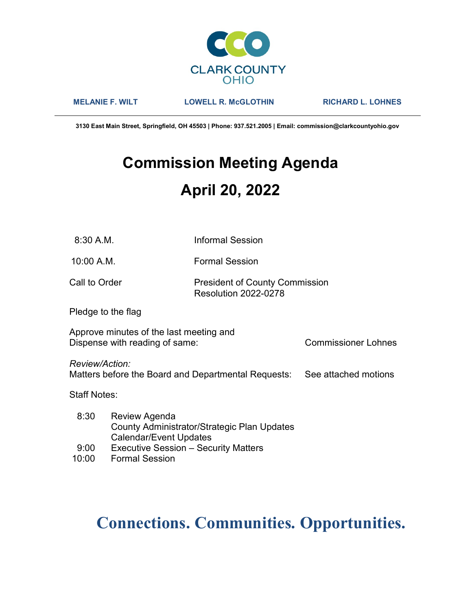

MELANIE F. WILT LOWELL R. McGLOTHIN RICHARD L. LOHNES

3130 East Main Street, Springfield, OH 45503 | Phone: 937.521.2005 | Email: commission@clarkcountyohio.gov

# Commission Meeting Agenda April 20, 2022

10:00 A.M. Formal Session

### Call to Order **President of County Commission** Resolution 2022-0278

Pledge to the flag

Approve minutes of the last meeting and Dispense with reading of same: Commissioner Lohnes

Review/Action:

Matters before the Board and Departmental Requests: See attached motions

Staff Notes:

- 8:30 Review Agenda County Administrator/Strategic Plan Updates Calendar/Event Updates
- 9:00 Executive Session Security Matters
- 10:00 Formal Session

## Connections. Communities. Opportunities.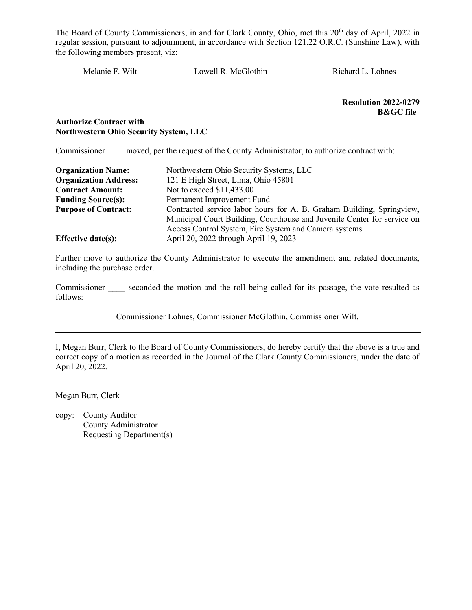Melanie F. Wilt Lowell R. McGlothin Richard L. Lohnes

Resolution 2022-0279 B&GC file

#### Authorize Contract with Northwestern Ohio Security System, LLC

Commissioner moved, per the request of the County Administrator, to authorize contract with:

| <b>Organization Name:</b>    | Northwestern Ohio Security Systems, LLC                                 |
|------------------------------|-------------------------------------------------------------------------|
| <b>Organization Address:</b> | 121 E High Street, Lima, Ohio 45801                                     |
| <b>Contract Amount:</b>      | Not to exceed \$11,433.00                                               |
| <b>Funding Source(s):</b>    | Permanent Improvement Fund                                              |
| <b>Purpose of Contract:</b>  | Contracted service labor hours for A. B. Graham Building, Springview,   |
|                              | Municipal Court Building, Courthouse and Juvenile Center for service on |
|                              | Access Control System, Fire System and Camera systems.                  |
| <b>Effective date(s):</b>    | April 20, 2022 through April 19, 2023                                   |

Further move to authorize the County Administrator to execute the amendment and related documents, including the purchase order.

Commissioner seconded the motion and the roll being called for its passage, the vote resulted as follows:

Commissioner Lohnes, Commissioner McGlothin, Commissioner Wilt,

I, Megan Burr, Clerk to the Board of County Commissioners, do hereby certify that the above is a true and correct copy of a motion as recorded in the Journal of the Clark County Commissioners, under the date of April 20, 2022.

Megan Burr, Clerk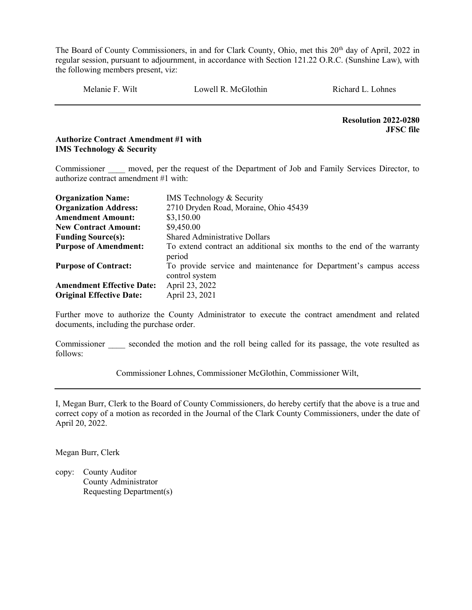Melanie F. Wilt Cowell R. McGlothin Richard L. Lohnes

 Resolution 2022-0280 JFSC file

#### Authorize Contract Amendment #1 with IMS Technology & Security

Commissioner moved, per the request of the Department of Job and Family Services Director, to authorize contract amendment #1 with:

| <b>Organization Name:</b>        | IMS Technology & Security                                                           |
|----------------------------------|-------------------------------------------------------------------------------------|
| <b>Organization Address:</b>     | 2710 Dryden Road, Moraine, Ohio 45439                                               |
| <b>Amendment Amount:</b>         | \$3,150.00                                                                          |
| <b>New Contract Amount:</b>      | \$9,450.00                                                                          |
| <b>Funding Source(s):</b>        | <b>Shared Administrative Dollars</b>                                                |
| <b>Purpose of Amendment:</b>     | To extend contract an additional six months to the end of the warranty<br>period    |
| <b>Purpose of Contract:</b>      | To provide service and maintenance for Department's campus access<br>control system |
| <b>Amendment Effective Date:</b> | April 23, 2022                                                                      |
| <b>Original Effective Date:</b>  | April 23, 2021                                                                      |

Further move to authorize the County Administrator to execute the contract amendment and related documents, including the purchase order.

Commissioner seconded the motion and the roll being called for its passage, the vote resulted as follows:

Commissioner Lohnes, Commissioner McGlothin, Commissioner Wilt,

I, Megan Burr, Clerk to the Board of County Commissioners, do hereby certify that the above is a true and correct copy of a motion as recorded in the Journal of the Clark County Commissioners, under the date of April 20, 2022.

Megan Burr, Clerk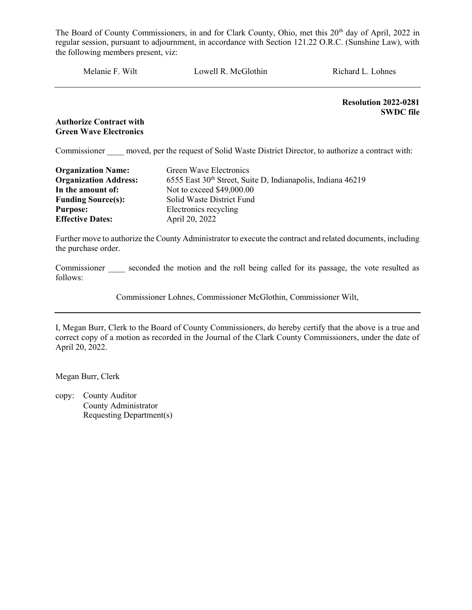Melanie F. Wilt Lowell R. McGlothin Richard L. Lohnes

Resolution 2022-0281 SWDC file

#### Authorize Contract with Green Wave Electronics

Commissioner moved, per the request of Solid Waste District Director, to authorize a contract with:

| <b>Organization Name:</b>    | Green Wave Electronics                                      |
|------------------------------|-------------------------------------------------------------|
| <b>Organization Address:</b> | 6555 East 30th Street, Suite D, Indianapolis, Indiana 46219 |
| In the amount of:            | Not to exceed \$49,000.00                                   |
| <b>Funding Source(s):</b>    | Solid Waste District Fund                                   |
| <b>Purpose:</b>              | Electronics recycling                                       |
| <b>Effective Dates:</b>      | April 20, 2022                                              |

Further move to authorize the County Administrator to execute the contract and related documents, including the purchase order.

Commissioner seconded the motion and the roll being called for its passage, the vote resulted as follows:

Commissioner Lohnes, Commissioner McGlothin, Commissioner Wilt,

I, Megan Burr, Clerk to the Board of County Commissioners, do hereby certify that the above is a true and correct copy of a motion as recorded in the Journal of the Clark County Commissioners, under the date of April 20, 2022.

Megan Burr, Clerk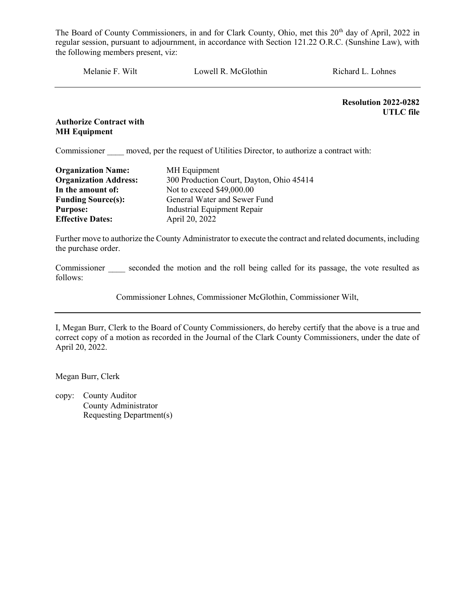Melanie F. Wilt Lowell R. McGlothin Richard L. Lohnes

Resolution 2022-0282 UTLC file

#### Authorize Contract with MH Equipment

Commissioner moved, per the request of Utilities Director, to authorize a contract with:

| <b>Organization Name:</b>    | MH Equipment                             |
|------------------------------|------------------------------------------|
| <b>Organization Address:</b> | 300 Production Court, Dayton, Ohio 45414 |
| In the amount of:            | Not to exceed \$49,000.00                |
| <b>Funding Source(s):</b>    | General Water and Sewer Fund             |
| <b>Purpose:</b>              | <b>Industrial Equipment Repair</b>       |
| <b>Effective Dates:</b>      | April 20, 2022                           |

Further move to authorize the County Administrator to execute the contract and related documents, including the purchase order.

Commissioner seconded the motion and the roll being called for its passage, the vote resulted as follows:

Commissioner Lohnes, Commissioner McGlothin, Commissioner Wilt,

I, Megan Burr, Clerk to the Board of County Commissioners, do hereby certify that the above is a true and correct copy of a motion as recorded in the Journal of the Clark County Commissioners, under the date of April 20, 2022.

Megan Burr, Clerk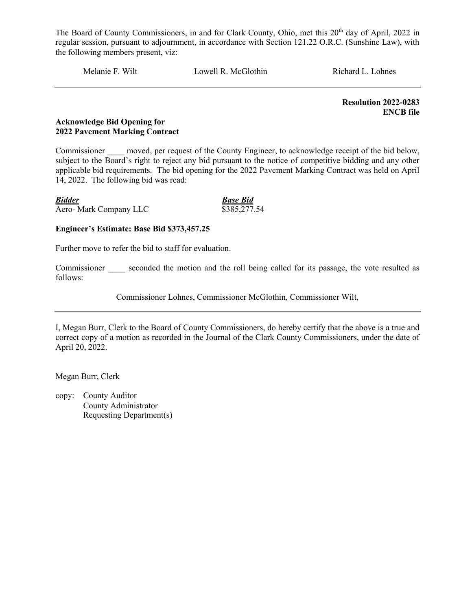Melanie F. Wilt Lowell R. McGlothin Richard L. Lohnes

 Resolution 2022-0283 ENCB file

#### Acknowledge Bid Opening for 2022 Pavement Marking Contract

Commissioner moved, per request of the County Engineer, to acknowledge receipt of the bid below, subject to the Board's right to reject any bid pursuant to the notice of competitive bidding and any other applicable bid requirements. The bid opening for the 2022 Pavement Marking Contract was held on April 14, 2022. The following bid was read:

| <b>Bidder</b>          | <b>Base Bid</b> |
|------------------------|-----------------|
| Aero- Mark Company LLC | \$385,277.54    |

#### Engineer's Estimate: Base Bid \$373,457.25

Further move to refer the bid to staff for evaluation.

Commissioner seconded the motion and the roll being called for its passage, the vote resulted as follows:

Commissioner Lohnes, Commissioner McGlothin, Commissioner Wilt,

I, Megan Burr, Clerk to the Board of County Commissioners, do hereby certify that the above is a true and correct copy of a motion as recorded in the Journal of the Clark County Commissioners, under the date of April 20, 2022.

Megan Burr, Clerk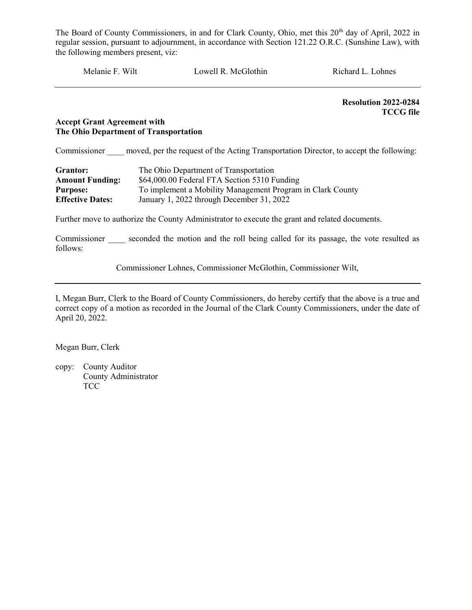Melanie F. Wilt Lowell R. McGlothin Richard L. Lohnes

 Resolution 2022-0284 TCCG file

#### Accept Grant Agreement with The Ohio Department of Transportation

Commissioner moved, per the request of the Acting Transportation Director, to accept the following:

| Grantor:                | The Ohio Department of Transportation                      |
|-------------------------|------------------------------------------------------------|
| <b>Amount Funding:</b>  | \$64,000.00 Federal FTA Section 5310 Funding               |
| <b>Purpose:</b>         | To implement a Mobility Management Program in Clark County |
| <b>Effective Dates:</b> | January 1, 2022 through December 31, 2022                  |

Further move to authorize the County Administrator to execute the grant and related documents.

Commissioner seconded the motion and the roll being called for its passage, the vote resulted as follows:

Commissioner Lohnes, Commissioner McGlothin, Commissioner Wilt,

I, Megan Burr, Clerk to the Board of County Commissioners, do hereby certify that the above is a true and correct copy of a motion as recorded in the Journal of the Clark County Commissioners, under the date of April 20, 2022.

Megan Burr, Clerk

copy: County Auditor County Administrator **TCC**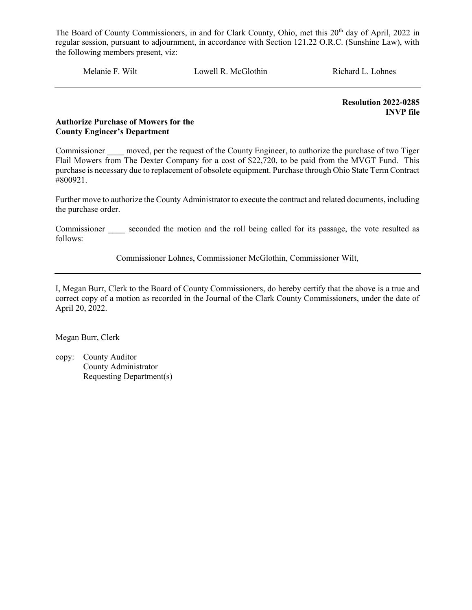Melanie F. Wilt Lowell R. McGlothin Richard L. Lohnes

Resolution 2022-0285 INVP file

#### Authorize Purchase of Mowers for the County Engineer's Department

Commissioner moved, per the request of the County Engineer, to authorize the purchase of two Tiger Flail Mowers from The Dexter Company for a cost of \$22,720, to be paid from the MVGT Fund. This purchase is necessary due to replacement of obsolete equipment. Purchase through Ohio State Term Contract #800921.

Further move to authorize the County Administrator to execute the contract and related documents, including the purchase order.

Commissioner seconded the motion and the roll being called for its passage, the vote resulted as follows:

Commissioner Lohnes, Commissioner McGlothin, Commissioner Wilt,

I, Megan Burr, Clerk to the Board of County Commissioners, do hereby certify that the above is a true and correct copy of a motion as recorded in the Journal of the Clark County Commissioners, under the date of April 20, 2022.

Megan Burr, Clerk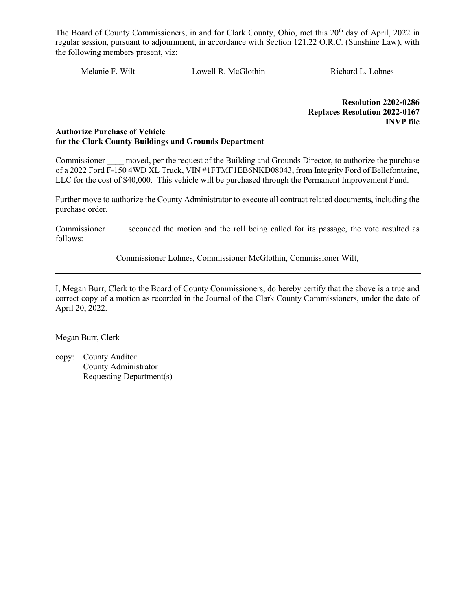Melanie F. Wilt Lowell R. McGlothin Richard L. Lohnes

 Resolution 2202-0286 Replaces Resolution 2022-0167 INVP file

#### Authorize Purchase of Vehicle for the Clark County Buildings and Grounds Department

Commissioner moved, per the request of the Building and Grounds Director, to authorize the purchase of a 2022 Ford F-150 4WD XL Truck, VIN #1FTMF1EB6NKD08043, from Integrity Ford of Bellefontaine, LLC for the cost of \$40,000. This vehicle will be purchased through the Permanent Improvement Fund.

Further move to authorize the County Administrator to execute all contract related documents, including the purchase order.

Commissioner seconded the motion and the roll being called for its passage, the vote resulted as follows:

Commissioner Lohnes, Commissioner McGlothin, Commissioner Wilt,

I, Megan Burr, Clerk to the Board of County Commissioners, do hereby certify that the above is a true and correct copy of a motion as recorded in the Journal of the Clark County Commissioners, under the date of April 20, 2022.

Megan Burr, Clerk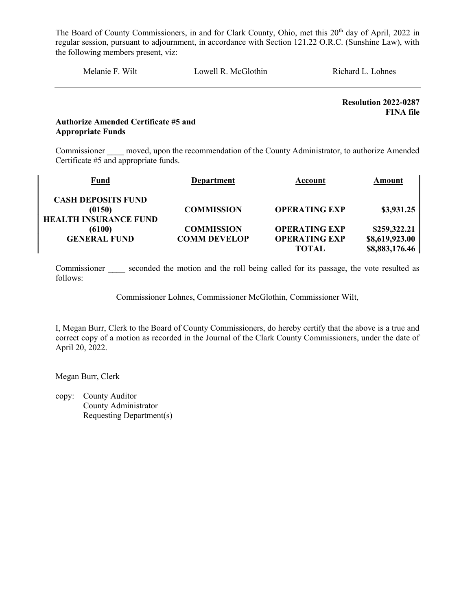| Melanie F. Wilt<br>Lowell R. McGlothin<br>Richard L. Lohnes |
|-------------------------------------------------------------|
|-------------------------------------------------------------|

Resolution 2022-0287 FINA file

#### Authorize Amended Certificate #5 and Appropriate Funds

Commissioner moved, upon the recommendation of the County Administrator, to authorize Amended Certificate #5 and appropriate funds.

| Fund                         | <b>Department</b>   | Account              | Amount         |
|------------------------------|---------------------|----------------------|----------------|
| <b>CASH DEPOSITS FUND</b>    |                     |                      |                |
| (0150)                       | <b>COMMISSION</b>   | <b>OPERATING EXP</b> | \$3,931.25     |
| <b>HEALTH INSURANCE FUND</b> |                     |                      |                |
| (6100)                       | <b>COMMISSION</b>   | <b>OPERATING EXP</b> | \$259,322.21   |
| <b>GENERAL FUND</b>          | <b>COMM DEVELOP</b> | <b>OPERATING EXP</b> | \$8,619,923.00 |
|                              |                     | TOTAL                | \$8,883,176.46 |

Commissioner seconded the motion and the roll being called for its passage, the vote resulted as follows:

Commissioner Lohnes, Commissioner McGlothin, Commissioner Wilt,

I, Megan Burr, Clerk to the Board of County Commissioners, do hereby certify that the above is a true and correct copy of a motion as recorded in the Journal of the Clark County Commissioners, under the date of April 20, 2022.

Megan Burr, Clerk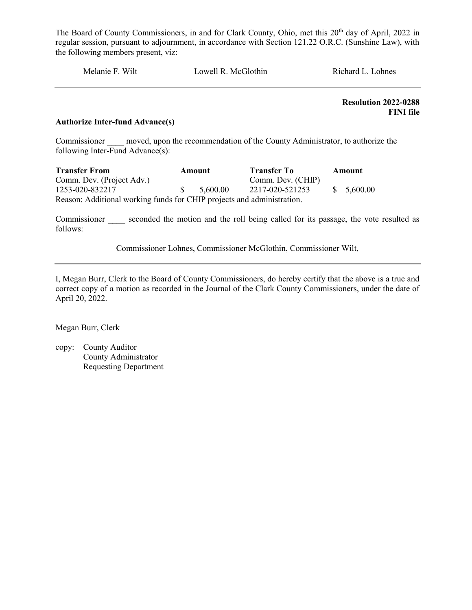Melanie F. Wilt Lowell R. McGlothin Richard L. Lohnes

 Resolution 2022-0288 FINI file

#### Authorize Inter-fund Advance(s)

Commissioner moved, upon the recommendation of the County Administrator, to authorize the following Inter-Fund Advance(s):

| <b>Transfer From</b>                                                   | Amount |          | <b>Transfer To</b> | Amount      |
|------------------------------------------------------------------------|--------|----------|--------------------|-------------|
| Comm. Dev. (Project Adv.)                                              |        |          | Comm. Dev. (CHIP)  |             |
| 1253-020-832217                                                        |        | 5.600.00 | 2217-020-521253    | \$ 5.600.00 |
| Reason: Additional working funds for CHIP projects and administration. |        |          |                    |             |

Commissioner seconded the motion and the roll being called for its passage, the vote resulted as follows:

Commissioner Lohnes, Commissioner McGlothin, Commissioner Wilt,

I, Megan Burr, Clerk to the Board of County Commissioners, do hereby certify that the above is a true and correct copy of a motion as recorded in the Journal of the Clark County Commissioners, under the date of April 20, 2022.

Megan Burr, Clerk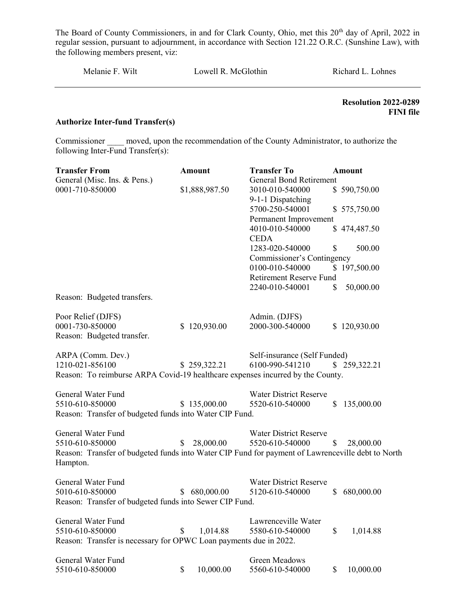Melanie F. Wilt Lowell R. McGlothin Richard L. Lohnes

 Resolution 2022-0289 FINI file

#### Authorize Inter-fund Transfer(s)

Commissioner moved, upon the recommendation of the County Administrator, to authorize the following Inter-Fund Transfer(s):

| <b>Transfer From</b>                                                                                          | <b>Amount</b> |                | <b>Transfer To</b>             |                           | <b>Amount</b> |
|---------------------------------------------------------------------------------------------------------------|---------------|----------------|--------------------------------|---------------------------|---------------|
| General (Misc. Ins. & Pens.)                                                                                  |               |                | <b>General Bond Retirement</b> |                           |               |
| 0001-710-850000                                                                                               |               | \$1,888,987.50 | 3010-010-540000                |                           | \$590,750.00  |
|                                                                                                               |               |                | 9-1-1 Dispatching              |                           |               |
|                                                                                                               |               |                | 5700-250-540001                |                           | \$575,750.00  |
|                                                                                                               |               |                | Permanent Improvement          |                           |               |
|                                                                                                               |               |                | 4010-010-540000                |                           | \$474,487.50  |
|                                                                                                               |               |                | <b>CEDA</b>                    |                           |               |
|                                                                                                               |               |                | 1283-020-540000                | \$                        | 500.00        |
|                                                                                                               |               |                | Commissioner's Contingency     |                           |               |
|                                                                                                               |               |                | 0100-010-540000                |                           | \$197,500.00  |
|                                                                                                               |               |                | Retirement Reserve Fund        |                           |               |
|                                                                                                               |               |                | 2240-010-540001                | \$                        | 50,000.00     |
| Reason: Budgeted transfers.                                                                                   |               |                |                                |                           |               |
| Poor Relief (DJFS)                                                                                            |               |                | Admin. (DJFS)                  |                           |               |
| 0001-730-850000                                                                                               |               | \$120,930.00   | 2000-300-540000                |                           | \$120,930.00  |
| Reason: Budgeted transfer.                                                                                    |               |                |                                |                           |               |
| ARPA (Comm. Dev.)                                                                                             |               |                | Self-insurance (Self Funded)   |                           |               |
| 1210-021-856100                                                                                               |               | \$259,322.21   | 6100-990-541210                |                           | \$259,322.21  |
| Reason: To reimburse ARPA Covid-19 healthcare expenses incurred by the County.                                |               |                |                                |                           |               |
|                                                                                                               |               |                |                                |                           |               |
| General Water Fund                                                                                            |               |                | <b>Water District Reserve</b>  |                           |               |
| 5510-610-850000                                                                                               |               | \$135,000.00   | 5520-610-540000                | $\boldsymbol{\mathsf{S}}$ | 135,000.00    |
| Reason: Transfer of budgeted funds into Water CIP Fund.                                                       |               |                |                                |                           |               |
| General Water Fund                                                                                            |               |                | <b>Water District Reserve</b>  |                           |               |
| 5510-610-850000                                                                                               | \$            | 28,000.00      | 5520-610-540000                | \$                        | 28,000.00     |
| Reason: Transfer of budgeted funds into Water CIP Fund for payment of Lawrenceville debt to North<br>Hampton. |               |                |                                |                           |               |
| General Water Fund                                                                                            |               |                | <b>Water District Reserve</b>  |                           |               |
| 5010-610-850000                                                                                               |               | \$680,000.00   | 5120-610-540000                | \$                        | 680,000.00    |
| Reason: Transfer of budgeted funds into Sewer CIP Fund.                                                       |               |                |                                |                           |               |
| General Water Fund                                                                                            |               |                | Lawrenceville Water            |                           |               |
| 5510-610-850000                                                                                               | \$            | 1,014.88       | 5580-610-540000                | \$                        | 1,014.88      |
| Reason: Transfer is necessary for OPWC Loan payments due in 2022.                                             |               |                |                                |                           |               |
| General Water Fund                                                                                            |               |                | Green Meadows                  |                           |               |
| 5510-610-850000                                                                                               | \$            | 10,000.00      | 5560-610-540000                | \$                        | 10,000.00     |
|                                                                                                               |               |                |                                |                           |               |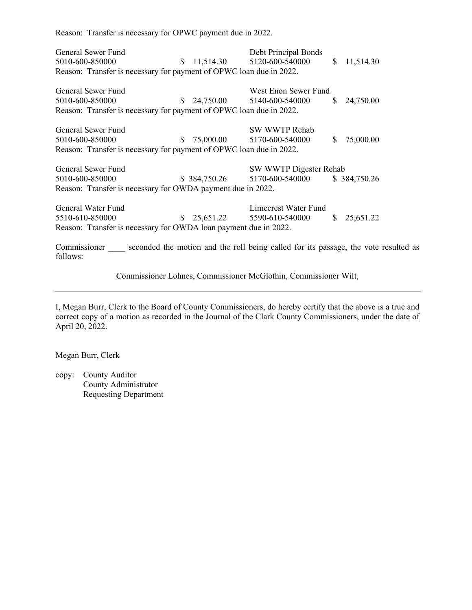Reason: Transfer is necessary for OPWC payment due in 2022.

General Sewer Fund Debt Principal Bonds 5010-600-850000 \$ 11,514.30 5120-600-540000 \$ 11,514.30 Reason: Transfer is necessary for payment of OPWC loan due in 2022. General Sewer Fund<br>
West Enon Sewer Fund 5010-600-850000 \$ 24,750.00 5140-600-540000 \$ 24,750.00 Reason: Transfer is necessary for payment of OPWC loan due in 2022. General Sewer Fund SW WWTP Rehab 5010-600-850000 \$ 75,000.00 5170-600-540000 \$ 75,000.00 Reason: Transfer is necessary for payment of OPWC loan due in 2022. General Sewer Fund Superintendual Sw WWTP Digester Rehability of SW WWTP Digester Rehability of SW WWTP Digester Rehability of SW WWTP Digester Rehability of SW WWTP Digester Rehability of SW WWTP Digester Rehability of SW 5010-600-850000 \$ 384,750.26 5170-600-540000 \$ 384,750.26 Reason: Transfer is necessary for OWDA payment due in 2022. General Water Fund Limecrest Water Fund 5510-610-850000 \$ 25,651.22 5590-610-540000 \$ 25,651.22 Reason: Transfer is necessary for OWDA loan payment due in 2022.

Commissioner seconded the motion and the roll being called for its passage, the vote resulted as follows:

Commissioner Lohnes, Commissioner McGlothin, Commissioner Wilt,

I, Megan Burr, Clerk to the Board of County Commissioners, do hereby certify that the above is a true and correct copy of a motion as recorded in the Journal of the Clark County Commissioners, under the date of April 20, 2022.

Megan Burr, Clerk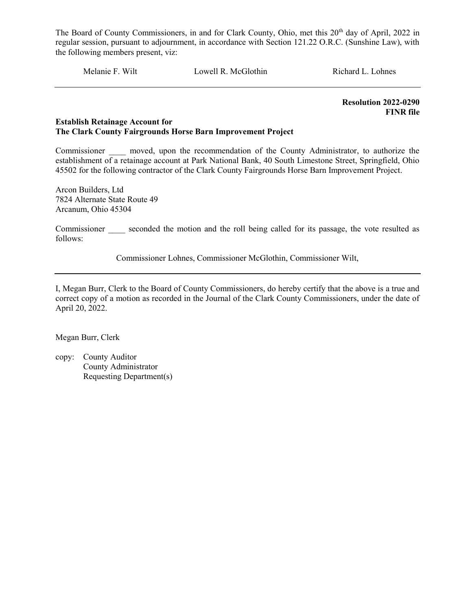Melanie F. Wilt Lowell R. McGlothin Richard L. Lohnes

 Resolution 2022-0290 FINR file

#### Establish Retainage Account for The Clark County Fairgrounds Horse Barn Improvement Project

Commissioner moved, upon the recommendation of the County Administrator, to authorize the establishment of a retainage account at Park National Bank, 40 South Limestone Street, Springfield, Ohio 45502 for the following contractor of the Clark County Fairgrounds Horse Barn Improvement Project.

Arcon Builders, Ltd 7824 Alternate State Route 49 Arcanum, Ohio 45304

Commissioner seconded the motion and the roll being called for its passage, the vote resulted as follows:

Commissioner Lohnes, Commissioner McGlothin, Commissioner Wilt,

I, Megan Burr, Clerk to the Board of County Commissioners, do hereby certify that the above is a true and correct copy of a motion as recorded in the Journal of the Clark County Commissioners, under the date of April 20, 2022.

Megan Burr, Clerk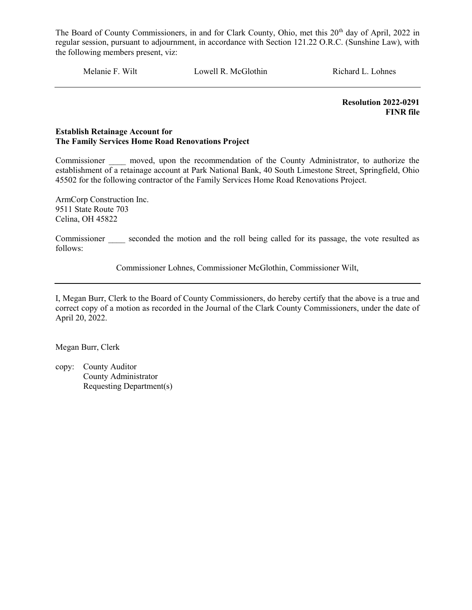Melanie F. Wilt Lowell R. McGlothin Richard L. Lohnes

 Resolution 2022-0291 FINR file

#### Establish Retainage Account for The Family Services Home Road Renovations Project

Commissioner moved, upon the recommendation of the County Administrator, to authorize the establishment of a retainage account at Park National Bank, 40 South Limestone Street, Springfield, Ohio 45502 for the following contractor of the Family Services Home Road Renovations Project.

ArmCorp Construction Inc. 9511 State Route 703 Celina, OH 45822

Commissioner seconded the motion and the roll being called for its passage, the vote resulted as follows:

Commissioner Lohnes, Commissioner McGlothin, Commissioner Wilt,

I, Megan Burr, Clerk to the Board of County Commissioners, do hereby certify that the above is a true and correct copy of a motion as recorded in the Journal of the Clark County Commissioners, under the date of April 20, 2022.

Megan Burr, Clerk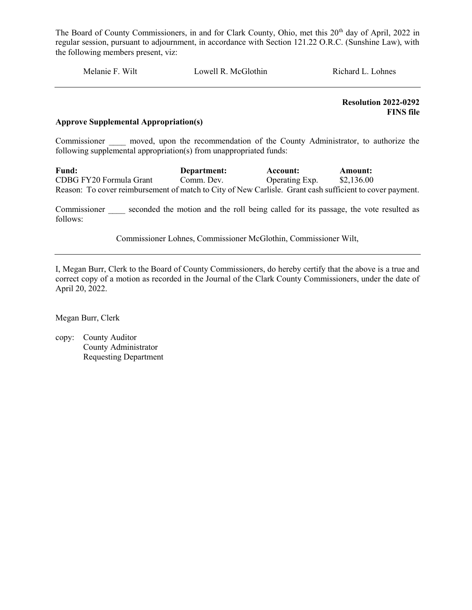Melanie F. Wilt Lowell R. McGlothin Richard L. Lohnes

 Resolution 2022-0292 FINS file

#### Approve Supplemental Appropriation(s)

Commissioner and moved, upon the recommendation of the County Administrator, to authorize the following supplemental appropriation(s) from unappropriated funds:

Fund: Department: Account: Amount: CDBG FY20 Formula Grant Comm. Dev. Operating Exp. \$2,136.00 Reason: To cover reimbursement of match to City of New Carlisle. Grant cash sufficient to cover payment.

Commissioner seconded the motion and the roll being called for its passage, the vote resulted as follows:

Commissioner Lohnes, Commissioner McGlothin, Commissioner Wilt,

I, Megan Burr, Clerk to the Board of County Commissioners, do hereby certify that the above is a true and correct copy of a motion as recorded in the Journal of the Clark County Commissioners, under the date of April 20, 2022.

Megan Burr, Clerk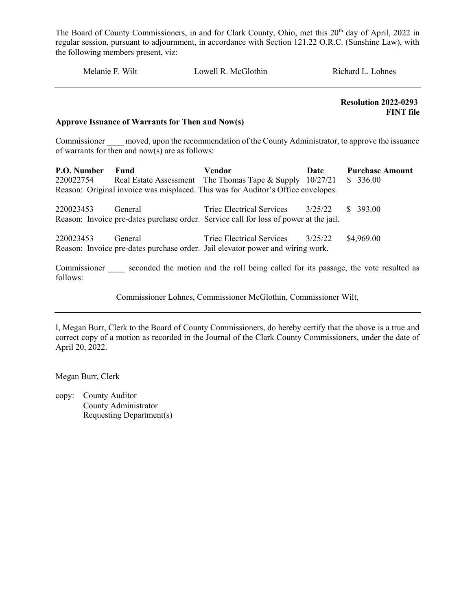| Melanie F. Wilt | Lowell R. McGlothin | Richard L. Lohnes |
|-----------------|---------------------|-------------------|
|                 |                     | .                 |

 Resolution 2022-0293 FINT file

#### Approve Issuance of Warrants for Then and Now(s)

Commissioner moved, upon the recommendation of the County Administrator, to approve the issuance of warrants for then and now(s) are as follows:

| P.O. Number   | Fund    | Vendor                                                                                | Date    | <b>Purchase Amount</b> |
|---------------|---------|---------------------------------------------------------------------------------------|---------|------------------------|
| 220022754     |         | Real Estate Assessment The Thomas Tape & Supply 10/27/21                              |         | \$336.00               |
|               |         | Reason: Original invoice was misplaced. This was for Auditor's Office envelopes.      |         |                        |
| 220023453     | General | Triec Electrical Services                                                             | 3/25/22 | \$ 393.00              |
|               |         | Reason: Invoice pre-dates purchase order. Service call for loss of power at the jail. |         |                        |
| 220023453     | General | Triec Electrical Services                                                             | 3/25/22 | \$4,969.00             |
|               |         | Reason: Invoice pre-dates purchase order. Jail elevator power and wiring work.        |         |                        |
| $\sim$ $\sim$ |         |                                                                                       |         |                        |

Commissioner \_\_\_\_ seconded the motion and the roll being called for its passage, the vote resulted as follows:

Commissioner Lohnes, Commissioner McGlothin, Commissioner Wilt,

I, Megan Burr, Clerk to the Board of County Commissioners, do hereby certify that the above is a true and correct copy of a motion as recorded in the Journal of the Clark County Commissioners, under the date of April 20, 2022.

Megan Burr, Clerk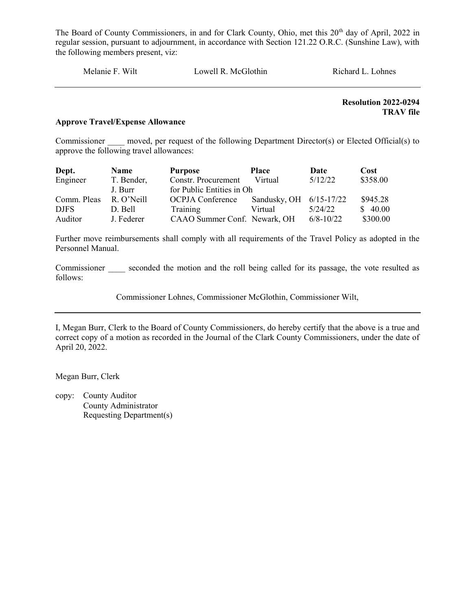| Wilt<br>Melanie F. | Lowell R. McGlothin | Richard L. Lohnes |
|--------------------|---------------------|-------------------|
|                    |                     |                   |

Resolution 2022-0294 TRAV file

#### Approve Travel/Expense Allowance

Commissioner moved, per request of the following Department Director(s) or Elected Official(s) to approve the following travel allowances:

| Dept.       | <b>Name</b> | <b>Purpose</b>               | <b>Place</b>            | Date          | Cost     |
|-------------|-------------|------------------------------|-------------------------|---------------|----------|
| Engineer    | T. Bender,  | Constr. Procurement          | Virtual                 | 5/12/22       | \$358.00 |
|             | J. Burr     | for Public Entities in Oh    |                         |               |          |
| Comm. Pleas | R. O' Neill | OCPJA Conference             | Sandusky, OH 6/15-17/22 |               | \$945.28 |
| <b>DJFS</b> | D. Bell     | Training                     | Virtual                 | 5/24/22       | \$40.00  |
| Auditor     | J. Federer  | CAAO Summer Conf. Newark, OH |                         | $6/8 - 10/22$ | \$300.00 |

Further move reimbursements shall comply with all requirements of the Travel Policy as adopted in the Personnel Manual.

Commissioner seconded the motion and the roll being called for its passage, the vote resulted as follows:

Commissioner Lohnes, Commissioner McGlothin, Commissioner Wilt,

I, Megan Burr, Clerk to the Board of County Commissioners, do hereby certify that the above is a true and correct copy of a motion as recorded in the Journal of the Clark County Commissioners, under the date of April 20, 2022.

Megan Burr, Clerk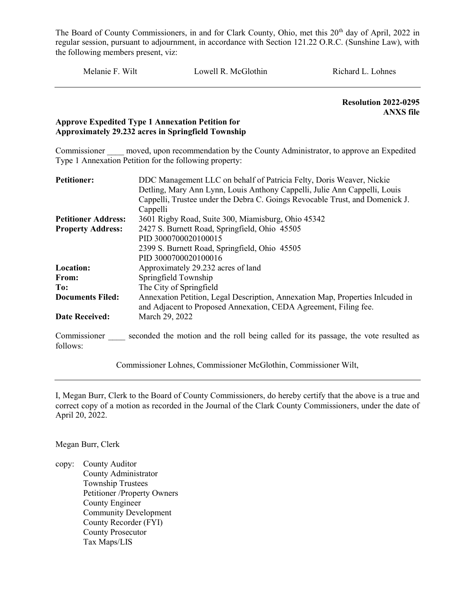Melanie F. Wilt Lowell R. McGlothin Richard L. Lohnes

 Resolution 2022-0295 ANXS file

#### Approve Expedited Type 1 Annexation Petition for Approximately 29.232 acres in Springfield Township

Commissioner moved, upon recommendation by the County Administrator, to approve an Expedited Type 1 Annexation Petition for the following property:

| <b>Petitioner:</b>         | DDC Management LLC on behalf of Patricia Felty, Doris Weaver, Nickie                |
|----------------------------|-------------------------------------------------------------------------------------|
|                            | Detling, Mary Ann Lynn, Louis Anthony Cappelli, Julie Ann Cappelli, Louis           |
|                            | Cappelli, Trustee under the Debra C. Goings Revocable Trust, and Domenick J.        |
|                            | Cappelli                                                                            |
| <b>Petitioner Address:</b> | 3601 Rigby Road, Suite 300, Miamisburg, Ohio 45342                                  |
| <b>Property Address:</b>   | 2427 S. Burnett Road, Springfield, Ohio 45505                                       |
|                            | PID 3000700020100015                                                                |
|                            | 2399 S. Burnett Road, Springfield, Ohio 45505                                       |
|                            | PID 3000700020100016                                                                |
| Location:                  | Approximately 29.232 acres of land                                                  |
| From:                      | Springfield Township                                                                |
| To:                        | The City of Springfield                                                             |
| <b>Documents Filed:</b>    | Annexation Petition, Legal Description, Annexation Map, Properties Inlcuded in      |
|                            | and Adjacent to Proposed Annexation, CEDA Agreement, Filing fee.                    |
| <b>Date Received:</b>      | March 29, 2022                                                                      |
| Commissioner               | seconded the motion and the roll being called for its passage, the vote resulted as |

Commissioner Lohnes, Commissioner McGlothin, Commissioner Wilt,

I, Megan Burr, Clerk to the Board of County Commissioners, do hereby certify that the above is a true and correct copy of a motion as recorded in the Journal of the Clark County Commissioners, under the date of April 20, 2022.

Megan Burr, Clerk

follows:

copy: County Auditor County Administrator Township Trustees Petitioner /Property Owners County Engineer Community Development County Recorder (FYI) County Prosecutor Tax Maps/LIS